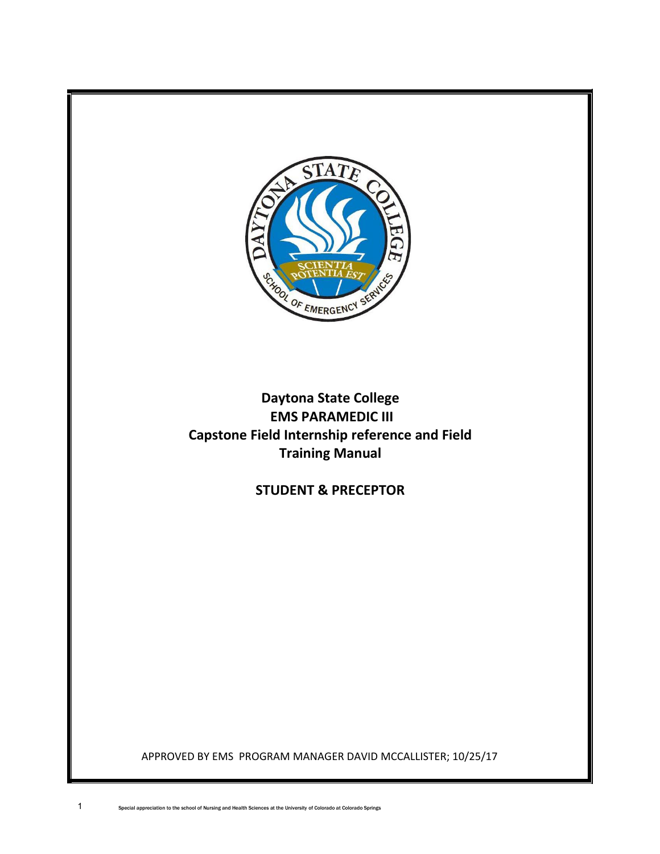

# **Daytona State College EMS PARAMEDIC III Capstone Field Internship reference and Field Training Manual**

**STUDENT & PRECEPTOR**

APPROVED BY EMS PROGRAM MANAGER DAVID MCCALLISTER; 10/25/17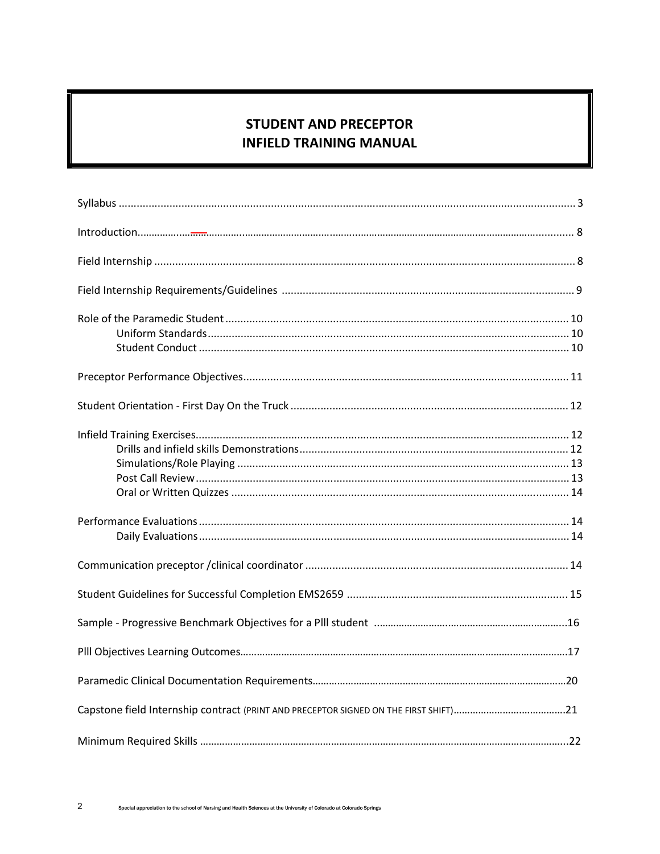# **STUDENT AND PRECEPTOR INFIELD TRAINING MANUAL**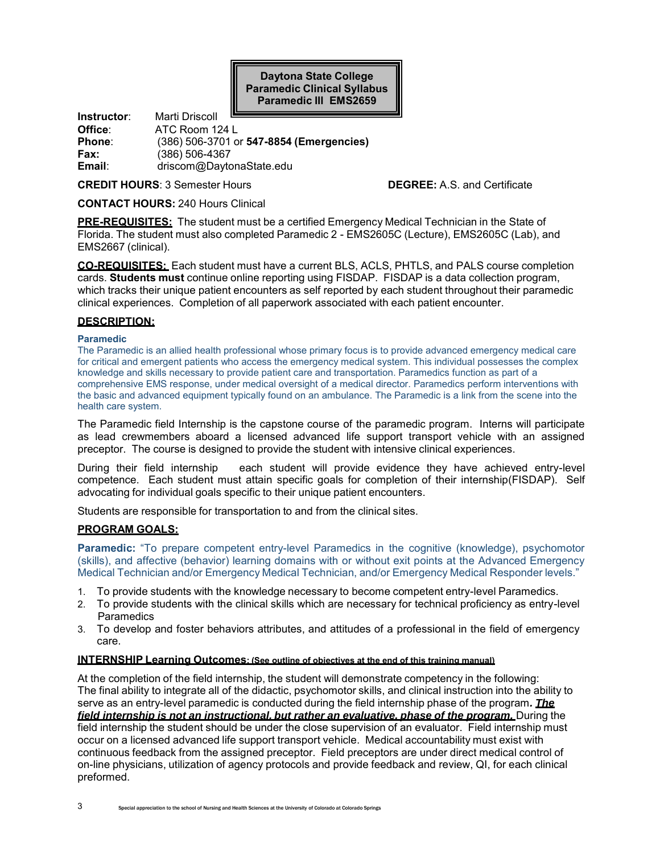**Daytona State College Paramedic Clinical Syllabus Paramedic lll EMS2659**

**Instructor**: Marti Driscoll **Office:** ATC Room 124 L<br>**Phone:** (386) 506-3701 o **Phone**: (386) 506-3701 or **547-8854 (Emergencies) Fax:** (386) 506-4367 **Email**: driscom@DaytonaState.edu

**CREDIT HOURS**: 3 Semester Hours **DEGREE:** A.S. and Certificate

**CONTACT HOURS:** 240 Hours Clinical

**PRE-REQUISITES:** The student must be a certified Emergency Medical Technician in the State of Florida. The student must also completed Paramedic 2 - EMS2605C (Lecture), EMS2605C (Lab), and EMS2667 (clinical).

**CO-REQUISITES:** Each student must have a current BLS, ACLS, PHTLS, and PALS course completion cards. **Students must** continue online reporting using FISDAP. FISDAP is a data collection program, which tracks their unique patient encounters as self reported by each student throughout their paramedic clinical experiences. Completion of all paperwork associated with each patient encounter.

#### **DESCRIPTION:**

#### **Paramedic**

The Paramedic is an allied health professional whose primary focus is to provide advanced emergency medical care for critical and emergent patients who access the emergency medical system. This individual possesses the complex knowledge and skills necessary to provide patient care and transportation. Paramedics function as part of a comprehensive EMS response, under medical oversight of a medical director. Paramedics perform interventions with the basic and advanced equipment typically found on an ambulance. The Paramedic is a link from the scene into the health care system.

The Paramedic field Internship is the capstone course of the paramedic program. Interns will participate as lead crewmembers aboard a licensed advanced life support transport vehicle with an assigned preceptor. The course is designed to provide the student with intensive clinical experiences.

During their field internship each student will provide evidence they have achieved entry-level competence. Each student must attain specific goals for completion of their internship(FISDAP). Self advocating for individual goals specific to their unique patient encounters.

Students are responsible for transportation to and from the clinical sites.

#### **PROGRAM GOALS:**

**Paramedic:** "To prepare competent entry-level Paramedics in the cognitive (knowledge), psychomotor (skills), and affective (behavior) learning domains with or without exit points at the Advanced Emergency Medical Technician and/or Emergency Medical Technician, and/or Emergency Medical Responder levels."

- 1. To provide students with the knowledge necessary to become competent entry-level Paramedics.
- 2. To provide students with the clinical skills which are necessary for technical proficiency as entry-level **Paramedics**
- 3. To develop and foster behaviors attributes, and attitudes of a professional in the field of emergency care.

#### **INTERNSHIP Learning Outcomes: (See outline of objectives at the end of this training manual)**

At the completion of the field internship, the student will demonstrate competency in the following: The final ability to integrate all of the didactic, psychomotor skills, and clinical instruction into the ability to serve as an entry-level paramedic is conducted during the field internship phase of the program*. The field internship is not an instructional, but rather an evaluative, phase of the program.* **During the** field internship the student should be under the close supervision of an evaluator. Field internship must occur on a licensed advanced life support transport vehicle. Medical accountability must exist with continuous feedback from the assigned preceptor. Field preceptors are under direct medical control of on-line physicians, utilization of agency protocols and provide feedback and review, QI, for each clinical preformed.

3 Special appreciation to the school of Nursing and Health Sciences at the University of Colorado at Colorado Springs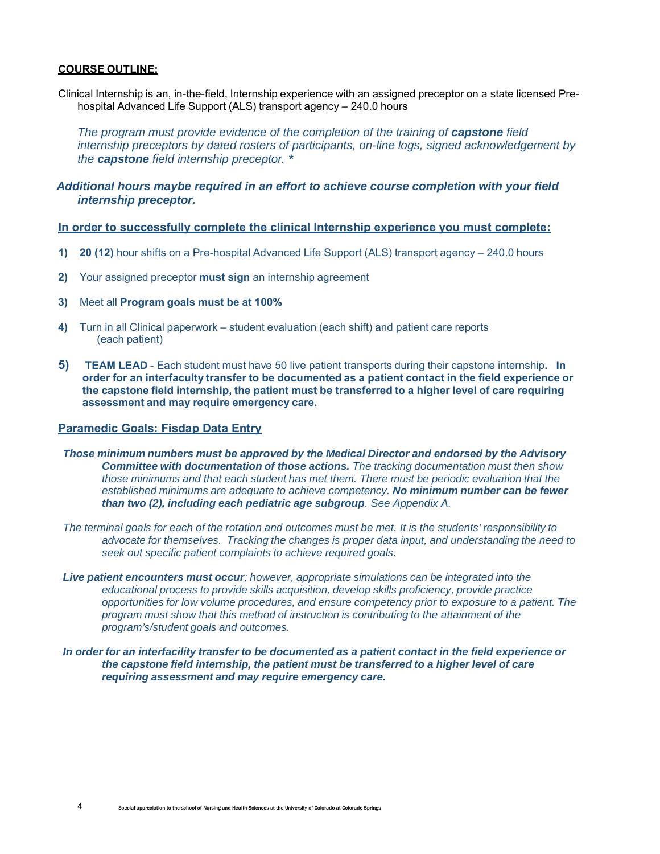#### **COURSE OUTLINE:**

Clinical Internship is an, in-the-field, Internship experience with an assigned preceptor on a state licensed Prehospital Advanced Life Support (ALS) transport agency – 240.0 hours

The program must provide evidence of the completion of the training of **capstone** field *internship preceptors by dated rosters of participants, on-line logs, signed acknowledgement by the capstone field internship preceptor. \**

### *Additional hours maybe required in an effort to achieve course completion with your field internship preceptor.*

#### **In order to successfully complete the clinical Internship experience you must complete:**

- **1) 20 (12)** hour shifts on a Pre-hospital Advanced Life Support (ALS) transport agency 240.0 hours
- **2)** Your assigned preceptor **must sign** an internship agreement
- **3)** Meet all **Program goals must be at 100%**
- **4)** Turn in all Clinical paperwork student evaluation (each shift) and patient care reports (each patient)
- **5) TEAM LEAD**  Each student must have 50 live patient transports during their capstone internship**. In order for an interfaculty transfer to be documented as a patient contact in the field experience or the capstone field internship, the patient must be transferred to a higher level of care requiring assessment and may require emergency care.**

#### **Paramedic Goals: Fisdap Data Entry**

- *Those minimum numbers must be approved by the Medical Director and endorsed by the Advisory Committee with documentation of those actions. The tracking documentation must then show those minimums and that each student has met them. There must be periodic evaluation that the established minimums are adequate to achieve competency. No minimum number can be fewer than two (2), including each pediatric age subgroup. See Appendix A.*
- *The terminal goals for each of the rotation and outcomes must be met. It is the students' responsibility to advocate for themselves. Tracking the changes is proper data input, and understanding the need to seek out specific patient complaints to achieve required goals.*
- *Live patient encounters must occur; however, appropriate simulations can be integrated into the educational process to provide skills acquisition, develop skills proficiency, provide practice opportunities for low volume procedures, and ensure competency prior to exposure to a patient. The program must show that this method of instruction is contributing to the attainment of the program's/student goals and outcomes.*
- *In order for an interfacility transfer to be documented as a patient contact in the field experience or the capstone field internship, the patient must be transferred to a higher level of care requiring assessment and may require emergency care.*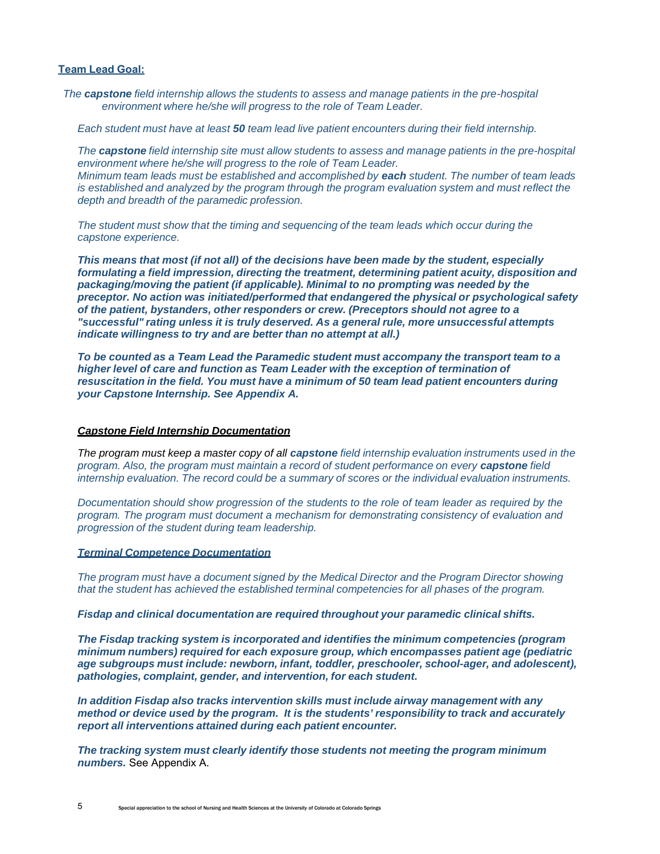#### **Team Lead Goal:**

*The capstone field internship allows the students to assess and manage patients in the pre-hospital environment where he/she will progress to the role of Team Leader.*

*Each student must have at least 50 team lead live patient encounters during their field internship.*

*The capstone field internship site must allow students to assess and manage patients in the pre-hospital environment where he/she will progress to the role of Team Leader. Minimum team leads must be established and accomplished by each student. The number of team leads is established and analyzed by the program through the program evaluation system and must reflect the depth and breadth of the paramedic profession.*

*The student must show that the timing and sequencing of the team leads which occur during the capstone experience.*

*This means that most (if not all) of the decisions have been made by the student, especially formulating a field impression, directing the treatment, determining patient acuity, disposition and packaging/moving the patient (if applicable). Minimal to no prompting was needed by the preceptor. No action was initiated/performed that endangered the physical or psychological safety of the patient, bystanders, other responders or crew. (Preceptors should not agree to a "successful" rating unless it is truly deserved. As a general rule, more unsuccessful attempts indicate willingness to try and are better than no attempt at all.)*

*To be counted as a Team Lead the Paramedic student must accompany the transport team to a higher level of care and function as Team Leader with the exception of termination of resuscitation in the field. You must have a minimum of 50 team lead patient encounters during your Capstone Internship. See Appendix A.*

#### *Capstone Field Internship Documentation*

*The program must keep a master copy of all capstone field internship evaluation instruments used in the program. Also, the program must maintain a record of student performance on every capstone field internship evaluation. The record could be a summary of scores or the individual evaluation instruments.*

*Documentation should show progression of the students to the role of team leader as required by the program. The program must document a mechanism for demonstrating consistency of evaluation and progression of the student during team leadership.*

#### *Terminal Competence Documentation*

*The program must have a document signed by the Medical Director and the Program Director showing that the student has achieved the established terminal competencies for all phases of the program.*

*Fisdap and clinical documentation are required throughout your paramedic clinical shifts.*

*The Fisdap tracking system is incorporated and identifies the minimum competencies (program minimum numbers) required for each exposure group, which encompasses patient age (pediatric age subgroups must include: newborn, infant, toddler, preschooler, school-ager, and adolescent), pathologies, complaint, gender, and intervention, for each student.*

*In addition Fisdap also tracks intervention skills must include airway management with any method or device used by the program. It is the students' responsibility to track and accurately report all interventions attained during each patient encounter.*

*The tracking system must clearly identify those students not meeting the program minimum numbers.* See Appendix A.

5 Special appreciation to the school of Nursing and Health Sciences at the University of Colorado at Colorado Springs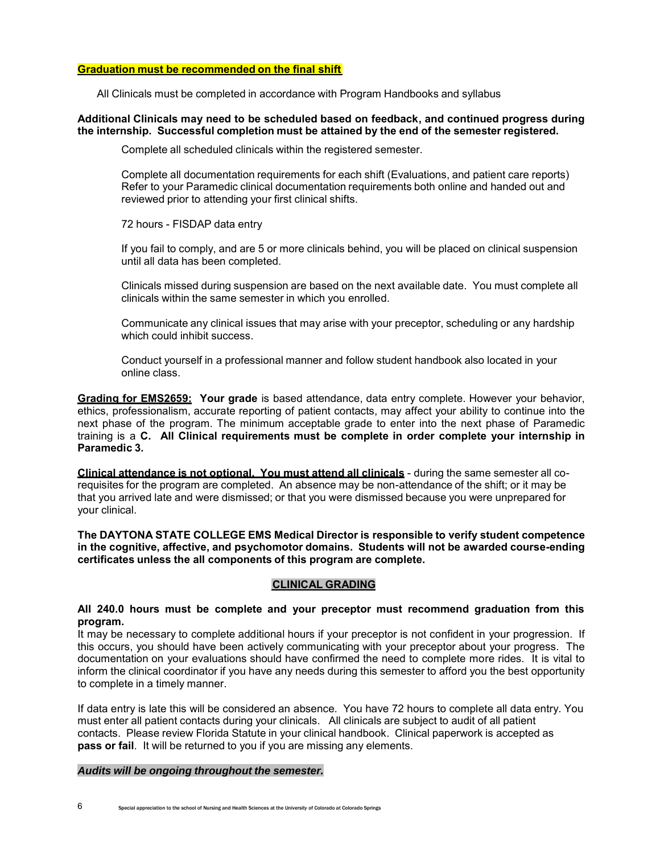#### **Graduation must be recommended on the final shift**

All Clinicals must be completed in accordance with Program Handbooks and syllabus

### **Additional Clinicals may need to be scheduled based on feedback, and continued progress during the internship. Successful completion must be attained by the end of the semester registered.**

Complete all scheduled clinicals within the registered semester.

Complete all documentation requirements for each shift (Evaluations, and patient care reports) Refer to your Paramedic clinical documentation requirements both online and handed out and reviewed prior to attending your first clinical shifts.

72 hours - FISDAP data entry

If you fail to comply, and are 5 or more clinicals behind, you will be placed on clinical suspension until all data has been completed.

Clinicals missed during suspension are based on the next available date. You must complete all clinicals within the same semester in which you enrolled.

Communicate any clinical issues that may arise with your preceptor, scheduling or any hardship which could inhibit success.

Conduct yourself in a professional manner and follow student handbook also located in your online class.

**Grading for EMS2659: Your grade** is based attendance, data entry complete. However your behavior, ethics, professionalism, accurate reporting of patient contacts, may affect your ability to continue into the next phase of the program. The minimum acceptable grade to enter into the next phase of Paramedic training is a **C. All Clinical requirements must be complete in order complete your internship in Paramedic 3.**

**Clinical attendance is not optional. You must attend all clinicals** - during the same semester all corequisites for the program are completed. An absence may be non-attendance of the shift; or it may be that you arrived late and were dismissed; or that you were dismissed because you were unprepared for your clinical.

**The DAYTONA STATE COLLEGE EMS Medical Director is responsible to verify student competence in the cognitive, affective, and psychomotor domains. Students will not be awarded course-ending certificates unless the all components of this program are complete.**

#### **CLINICAL GRADING**

#### **All 240.0 hours must be complete and your preceptor must recommend graduation from this program.**

It may be necessary to complete additional hours if your preceptor is not confident in your progression. If this occurs, you should have been actively communicating with your preceptor about your progress. The documentation on your evaluations should have confirmed the need to complete more rides. It is vital to inform the clinical coordinator if you have any needs during this semester to afford you the best opportunity to complete in a timely manner.

If data entry is late this will be considered an absence. You have 72 hours to complete all data entry. You must enter all patient contacts during your clinicals. All clinicals are subject to audit of all patient contacts. Please review Florida Statute in your clinical handbook. Clinical paperwork is accepted as **pass or fail**. It will be returned to you if you are missing any elements.

#### *Audits will be ongoing throughout the semester.*

6 Special appreciation to the school of Nursing and Health Sciences at the University of Colorado at Colorado Springs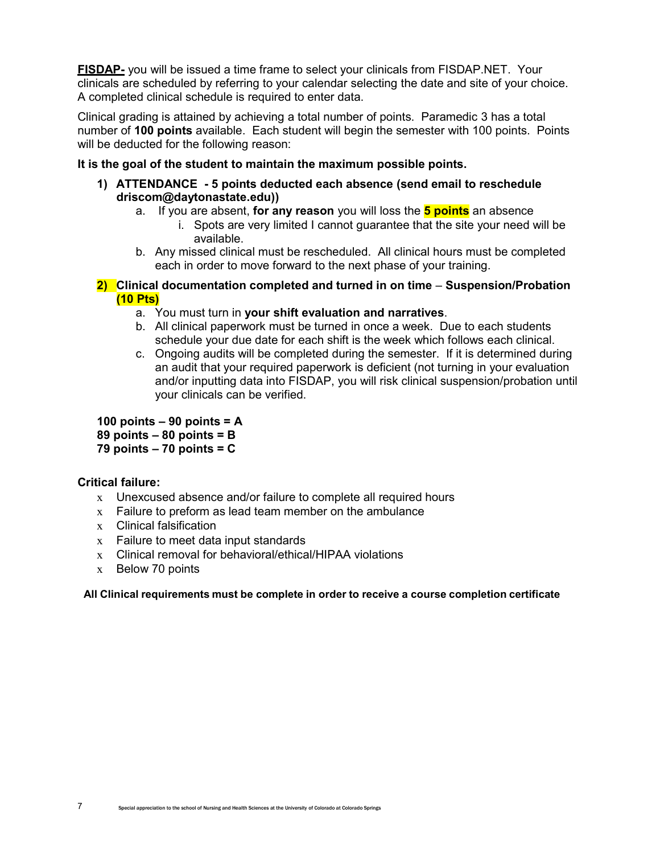**FISDAP-** you will be issued a time frame to select your clinicals from FISDAP.NET. Your clinicals are scheduled by referring to your calendar selecting the date and site of your choice. A completed clinical schedule is required to enter data.

Clinical grading is attained by achieving a total number of points. Paramedic 3 has a total number of **100 points** available. Each student will begin the semester with 100 points. Points will be deducted for the following reason:

# **It is the goal of the student to maintain the maximum possible points.**

- **1) ATTENDANCE 5 points deducted each absence (send email to reschedule driscom@daytonastate.edu))**
	- a. If you are absent, **for any reason** you will loss the **5 points** an absence
		- i. Spots are very limited I cannot guarantee that the site your need will be available.
	- b. Any missed clinical must be rescheduled. All clinical hours must be completed each in order to move forward to the next phase of your training.
- **2) Clinical documentation completed and turned in on time Suspension/Probation (10 Pts)**
	- a. You must turn in **your shift evaluation and narratives**.
	- b. All clinical paperwork must be turned in once a week. Due to each students schedule your due date for each shift is the week which follows each clinical.
	- c. Ongoing audits will be completed during the semester. If it is determined during an audit that your required paperwork is deficient (not turning in your evaluation and/or inputting data into FISDAP, you will risk clinical suspension/probation until your clinicals can be verified.

**100 points – 90 points = A**

**89 points – 80 points = B**

**79 points – 70 points = C**

# **Critical failure:**

- x Unexcused absence and/or failure to complete all required hours
- $x$  Failure to preform as lead team member on the ambulance
- x Clinical falsification
- x Failure to meet data input standards
- x Clinical removal for behavioral/ethical/HIPAA violations
- x Below 70 points

**All Clinical requirements must be complete in order to receive a course completion certificate**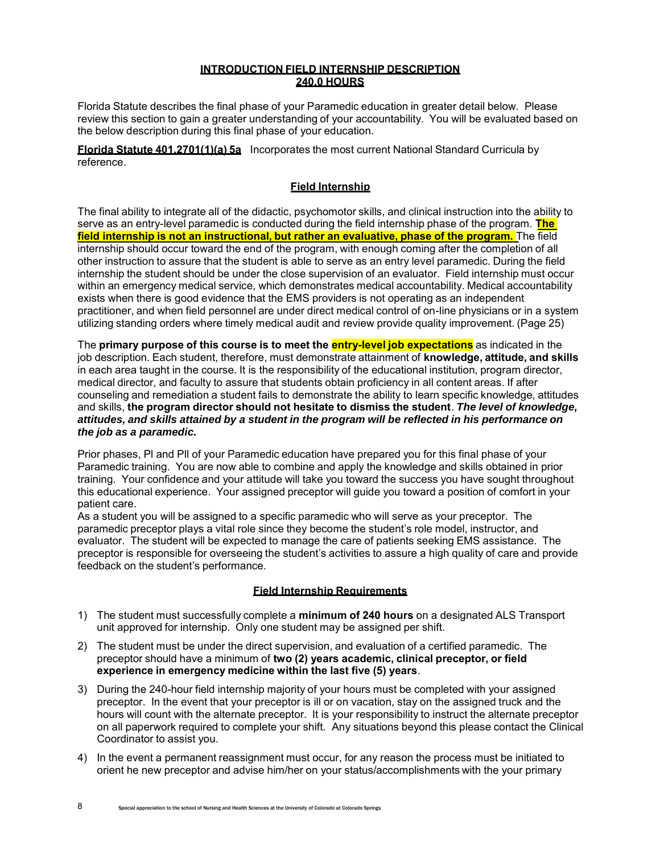### **INTRODUCTION FIELD INTERNSHIP DESCRIPTION 240.0 HOURS**

Florida Statute describes the final phase of your Paramedic education in greater detail below. Please review this section to gain a greater understanding of your accountability. You will be evaluated based on the below description during this final phase of your education.

**Florida Statute 401.2701(1)(a) 5a** Incorporates the most current National Standard Curricula by reference.

### **Field Internship**

The final ability to integrate all of the didactic, psychomotor skills, and clinical instruction into the ability to serve as an entry-level paramedic is conducted during the field internship phase of the program. **The field internship is not an instructional, but rather an evaluative, phase of the program.** The field internship should occur toward the end of the program, with enough coming after the completion of all other instruction to assure that the student is able to serve as an entry level paramedic. During the field internship the student should be under the close supervision of an evaluator. Field internship must occur within an emergency medical service, which demonstrates medical accountability. Medical accountability exists when there is good evidence that the EMS providers is not operating as an independent practitioner, and when field personnel are under direct medical control of on-line physicians or in a system utilizing standing orders where timely medical audit and review provide quality improvement. (Page 25)

The **primary purpose of this course is to meet the entry-level job expectations** as indicated in the job description. Each student, therefore, must demonstrate attainment of **knowledge, attitude, and skills**  in each area taught in the course. It is the responsibility of the educational institution, program director, medical director, and faculty to assure that students obtain proficiency in all content areas. If after counseling and remediation a student fails to demonstrate the ability to learn specific knowledge, attitudes and skills, **the program director should not hesitate to dismiss the student**. *The level of knowledge, attitudes, and skills attained by a student in the program will be reflected in his performance on the job as a paramedic.*

Prior phases, Pl and Pll of your Paramedic education have prepared you for this final phase of your Paramedic training. You are now able to combine and apply the knowledge and skills obtained in prior training. Your confidence and your attitude will take you toward the success you have sought throughout this educational experience. Your assigned preceptor will guide you toward a position of comfort in your patient care.

As a student you will be assigned to a specific paramedic who will serve as your preceptor. The paramedic preceptor plays a vital role since they become the student's role model, instructor, and evaluator. The student will be expected to manage the care of patients seeking EMS assistance. The preceptor is responsible for overseeing the student's activities to assure a high quality of care and provide feedback on the student's performance.

### **Field Internship Requirements**

- 1) The student must successfully complete a **minimum of 240 hours** on a designated ALS Transport unit approved for internship. Only one student may be assigned per shift.
- 2) The student must be under the direct supervision, and evaluation of a certified paramedic. The preceptor should have a minimum of **two (2) years academic, clinical preceptor, or field experience in emergency medicine within the last five (5) years**.
- 3) During the 240-hour field internship majority of your hours must be completed with your assigned preceptor. In the event that your preceptor is ill or on vacation, stay on the assigned truck and the hours will count with the alternate preceptor. It is your responsibility to instruct the alternate preceptor on all paperwork required to complete your shift. Any situations beyond this please contact the Clinical Coordinator to assist you.
- 4) In the event a permanent reassignment must occur, for any reason the process must be initiated to orient he new preceptor and advise him/her on your status/accomplishments with the your primary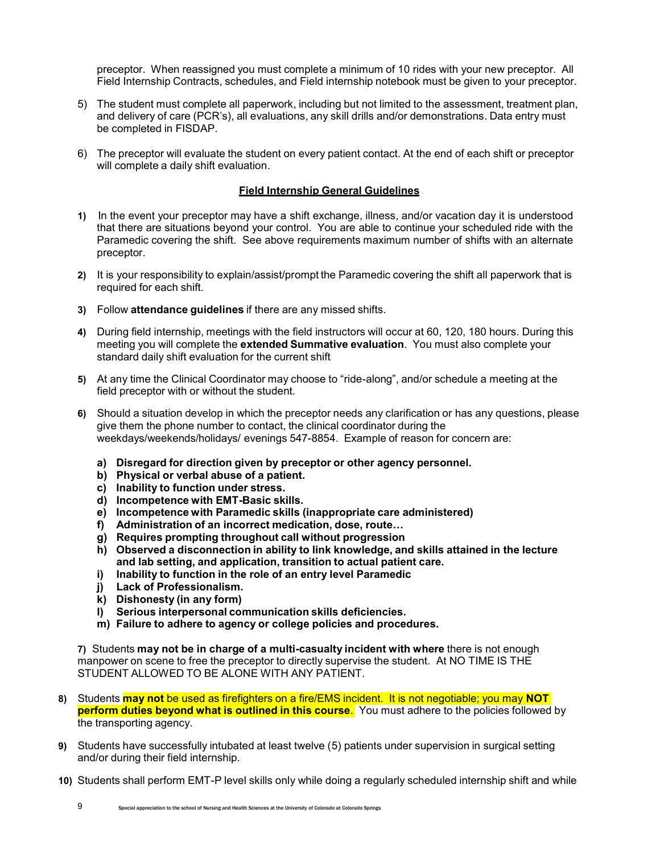preceptor. When reassigned you must complete a minimum of 10 rides with your new preceptor. All Field Internship Contracts, schedules, and Field internship notebook must be given to your preceptor.

- 5) The student must complete all paperwork, including but not limited to the assessment, treatment plan, and delivery of care (PCR's), all evaluations, any skill drills and/or demonstrations. Data entry must be completed in FISDAP.
- 6) The preceptor will evaluate the student on every patient contact. At the end of each shift or preceptor will complete a daily shift evaluation.

### **Field Internship General Guidelines**

- **1)** In the event your preceptor may have a shift exchange, illness, and/or vacation day it is understood that there are situations beyond your control. You are able to continue your scheduled ride with the Paramedic covering the shift. See above requirements maximum number of shifts with an alternate preceptor.
- **2)** It is your responsibility to explain/assist/prompt the Paramedic covering the shift all paperwork that is required for each shift.
- **3)** Follow **attendance guidelines** if there are any missed shifts.
- **4)** During field internship, meetings with the field instructors will occur at 60, 120, 180 hours. During this meeting you will complete the **extended Summative evaluation**. You must also complete your standard daily shift evaluation for the current shift
- **5)** At any time the Clinical Coordinator may choose to "ride-along", and/or schedule a meeting at the field preceptor with or without the student.
- **6)** Should a situation develop in which the preceptor needs any clarification or has any questions, please give them the phone number to contact, the clinical coordinator during the weekdays/weekends/holidays/ evenings 547-8854. Example of reason for concern are:
	- **a) Disregard for direction given by preceptor or other agency personnel.**
	- **b) Physical or verbal abuse of a patient.**
	- **c) Inability to function under stress.**
	- **d) Incompetence with EMT-Basic skills.**
	- **e) Incompetence with Paramedic skills (inappropriate care administered)**
	- **f) Administration of an incorrect medication, dose, route…**
	- **g) Requires prompting throughout call without progression**
	- **h) Observed a disconnection in ability to link knowledge, and skills attained in the lecture and lab setting, and application, transition to actual patient care.**
	- **i) Inability to function in the role of an entry level Paramedic**
	- **j) Lack of Professionalism.**
	- **k) Dishonesty (in any form)**
	- **l) Serious interpersonal communication skills deficiencies.**
	- **m) Failure to adhere to agency or college policies and procedures.**

**7)** Students **may not be in charge of a multi-casualty incident with where** there is not enough manpower on scene to free the preceptor to directly supervise the student. At NO TIME IS THE STUDENT ALLOWED TO BE ALONE WITH ANY PATIENT.

- **8)** Students **may not** be used as firefighters on a fire/EMS incident. It is not negotiable; you may **NOT perform duties beyond what is outlined in this course**. You must adhere to the policies followed by the transporting agency.
- **9)** Students have successfully intubated at least twelve (5) patients under supervision in surgical setting and/or during their field internship.
- **10)** Students shall perform EMT-P level skills only while doing a regularly scheduled internship shift and while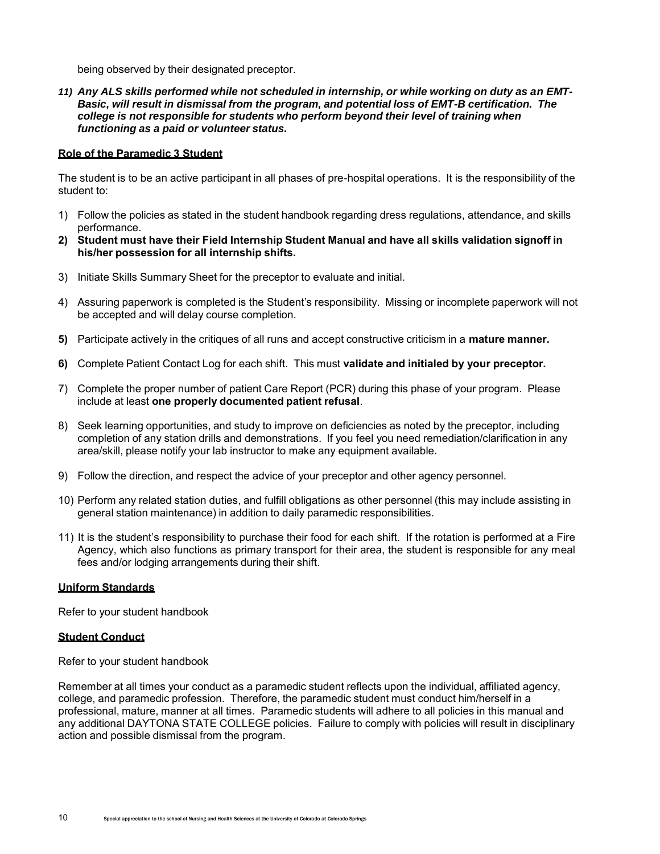being observed by their designated preceptor.

*11) Any ALS skills performed while not scheduled in internship, or while working on duty as an EMT-Basic, will result in dismissal from the program, and potential loss of EMT-B certification. The college is not responsible for students who perform beyond their level of training when functioning as a paid or volunteer status.*

#### **Role of the Paramedic 3 Student**

The student is to be an active participant in all phases of pre-hospital operations. It is the responsibility of the student to:

- 1) Follow the policies as stated in the student handbook regarding dress regulations, attendance, and skills performance.
- **2) Student must have their Field Internship Student Manual and have all skills validation signoff in his/her possession for all internship shifts.**
- 3) Initiate Skills Summary Sheet for the preceptor to evaluate and initial.
- 4) Assuring paperwork is completed is the Student's responsibility. Missing or incomplete paperwork will not be accepted and will delay course completion.
- **5)** Participate actively in the critiques of all runs and accept constructive criticism in a **mature manner.**
- **6)** Complete Patient Contact Log for each shift. This must **validate and initialed by your preceptor.**
- 7) Complete the proper number of patient Care Report (PCR) during this phase of your program. Please include at least **one properly documented patient refusal**.
- 8) Seek learning opportunities, and study to improve on deficiencies as noted by the preceptor, including completion of any station drills and demonstrations. If you feel you need remediation/clarification in any area/skill, please notify your lab instructor to make any equipment available.
- 9) Follow the direction, and respect the advice of your preceptor and other agency personnel.
- 10) Perform any related station duties, and fulfill obligations as other personnel (this may include assisting in general station maintenance) in addition to daily paramedic responsibilities.
- 11) It is the student's responsibility to purchase their food for each shift. If the rotation is performed at a Fire Agency, which also functions as primary transport for their area, the student is responsible for any meal fees and/or lodging arrangements during their shift.

#### **Uniform Standards**

Refer to your student handbook

#### **Student Conduct**

Refer to your student handbook

Remember at all times your conduct as a paramedic student reflects upon the individual, affiliated agency, college, and paramedic profession. Therefore, the paramedic student must conduct him/herself in a professional, mature, manner at all times. Paramedic students will adhere to all policies in this manual and any additional DAYTONA STATE COLLEGE policies. Failure to comply with policies will result in disciplinary action and possible dismissal from the program.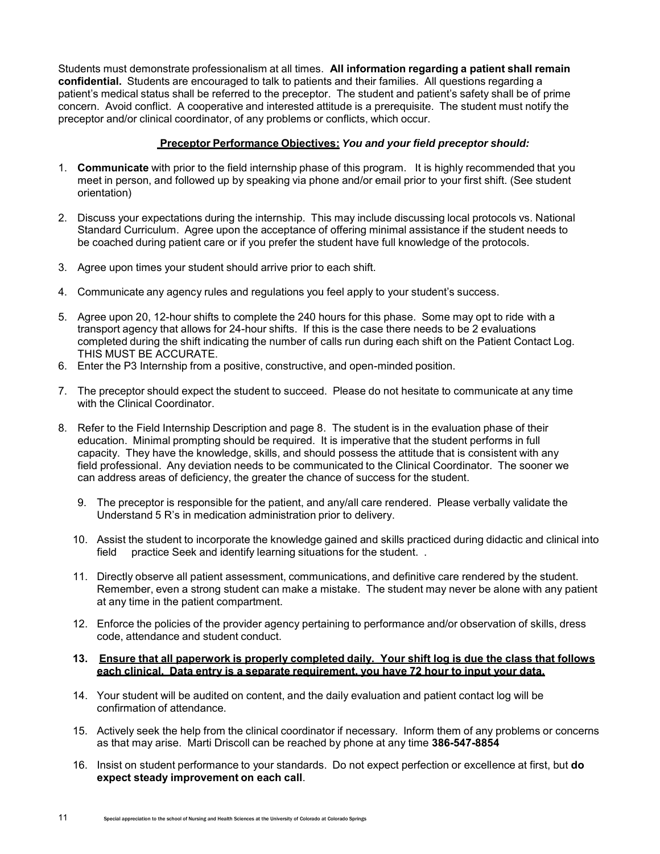Students must demonstrate professionalism at all times. **All information regarding a patient shall remain confidential.** Students are encouraged to talk to patients and their families. All questions regarding a patient's medical status shall be referred to the preceptor. The student and patient's safety shall be of prime concern. Avoid conflict. A cooperative and interested attitude is a prerequisite. The student must notify the preceptor and/or clinical coordinator, of any problems or conflicts, which occur.

### **Preceptor Performance Objectives:** *You and your field preceptor should:*

- 1. **Communicate** with prior to the field internship phase of this program. It is highly recommended that you meet in person, and followed up by speaking via phone and/or email prior to your first shift. (See student orientation)
- 2. Discuss your expectations during the internship. This may include discussing local protocols vs. National Standard Curriculum. Agree upon the acceptance of offering minimal assistance if the student needs to be coached during patient care or if you prefer the student have full knowledge of the protocols.
- 3. Agree upon times your student should arrive prior to each shift.
- 4. Communicate any agency rules and regulations you feel apply to your student's success.
- 5. Agree upon 20, 12-hour shifts to complete the 240 hours for this phase. Some may opt to ride with a transport agency that allows for 24-hour shifts. If this is the case there needs to be 2 evaluations completed during the shift indicating the number of calls run during each shift on the Patient Contact Log. THIS MUST BE ACCURATE.
- 6. Enter the P3 Internship from a positive, constructive, and open-minded position.
- 7. The preceptor should expect the student to succeed. Please do not hesitate to communicate at any time with the Clinical Coordinator.
- 8. Refer to the Field Internship Description and page 8. The student is in the evaluation phase of their education. Minimal prompting should be required. It is imperative that the student performs in full capacity. They have the knowledge, skills, and should possess the attitude that is consistent with any field professional. Any deviation needs to be communicated to the Clinical Coordinator. The sooner we can address areas of deficiency, the greater the chance of success for the student.
	- 9. The preceptor is responsible for the patient, and any/all care rendered. Please verbally validate the Understand 5 R's in medication administration prior to delivery.
	- 10. Assist the student to incorporate the knowledge gained and skills practiced during didactic and clinical into field practice Seek and identify learning situations for the student. .
	- 11. Directly observe all patient assessment, communications, and definitive care rendered by the student. Remember, even a strong student can make a mistake. The student may never be alone with any patient at any time in the patient compartment.
	- 12. Enforce the policies of the provider agency pertaining to performance and/or observation of skills, dress code, attendance and student conduct.

### **13. Ensure that all paperwork is properly completed daily. Your shift log is due the class that follows each clinical. Data entry is a separate requirement, you have 72 hour to input your data.**

- 14. Your student will be audited on content, and the daily evaluation and patient contact log will be confirmation of attendance.
- 15. Actively seek the help from the clinical coordinator if necessary. Inform them of any problems or concerns as that may arise. Marti Driscoll can be reached by phone at any time **386-547-8854**
- 16. Insist on student performance to your standards. Do not expect perfection or excellence at first, but **do expect steady improvement on each call**.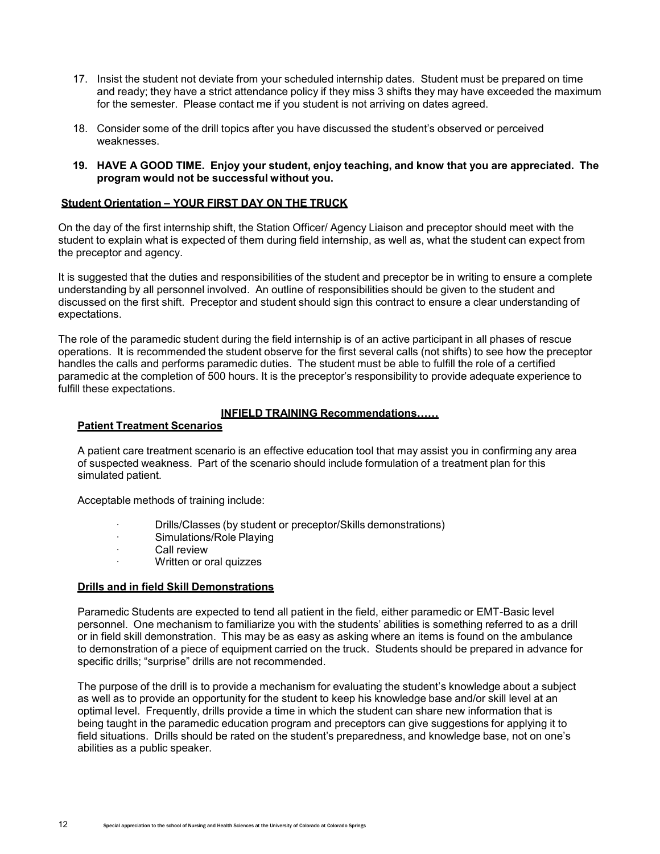- 17. Insist the student not deviate from your scheduled internship dates. Student must be prepared on time and ready; they have a strict attendance policy if they miss 3 shifts they may have exceeded the maximum for the semester. Please contact me if you student is not arriving on dates agreed.
- 18. Consider some of the drill topics after you have discussed the student's observed or perceived weaknesses.
- **19. HAVE A GOOD TIME. Enjoy your student, enjoy teaching, and know that you are appreciated. The program would not be successful without you.**

#### **Student Orientation – YOUR FIRST DAY ON THE TRUCK**

On the day of the first internship shift, the Station Officer/ Agency Liaison and preceptor should meet with the student to explain what is expected of them during field internship, as well as, what the student can expect from the preceptor and agency.

It is suggested that the duties and responsibilities of the student and preceptor be in writing to ensure a complete understanding by all personnel involved. An outline of responsibilities should be given to the student and discussed on the first shift. Preceptor and student should sign this contract to ensure a clear understanding of expectations.

The role of the paramedic student during the field internship is of an active participant in all phases of rescue operations. It is recommended the student observe for the first several calls (not shifts) to see how the preceptor handles the calls and performs paramedic duties. The student must be able to fulfill the role of a certified paramedic at the completion of 500 hours. It is the preceptor's responsibility to provide adequate experience to fulfill these expectations.

### **INFIELD TRAINING Recommendations……**

#### **Patient Treatment Scenarios**

A patient care treatment scenario is an effective education tool that may assist you in confirming any area of suspected weakness. Part of the scenario should include formulation of a treatment plan for this simulated patient.

Acceptable methods of training include:

- · Drills/Classes (by student or preceptor/Skills demonstrations)
- · Simulations/Role Playing
- · Call review
- · Written or oral quizzes

#### **Drills and in field Skill Demonstrations**

Paramedic Students are expected to tend all patient in the field, either paramedic or EMT-Basic level personnel. One mechanism to familiarize you with the students' abilities is something referred to as a drill or in field skill demonstration. This may be as easy as asking where an items is found on the ambulance to demonstration of a piece of equipment carried on the truck. Students should be prepared in advance for specific drills; "surprise" drills are not recommended.

The purpose of the drill is to provide a mechanism for evaluating the student's knowledge about a subject as well as to provide an opportunity for the student to keep his knowledge base and/or skill level at an optimal level. Frequently, drills provide a time in which the student can share new information that is being taught in the paramedic education program and preceptors can give suggestions for applying it to field situations. Drills should be rated on the student's preparedness, and knowledge base, not on one's abilities as a public speaker.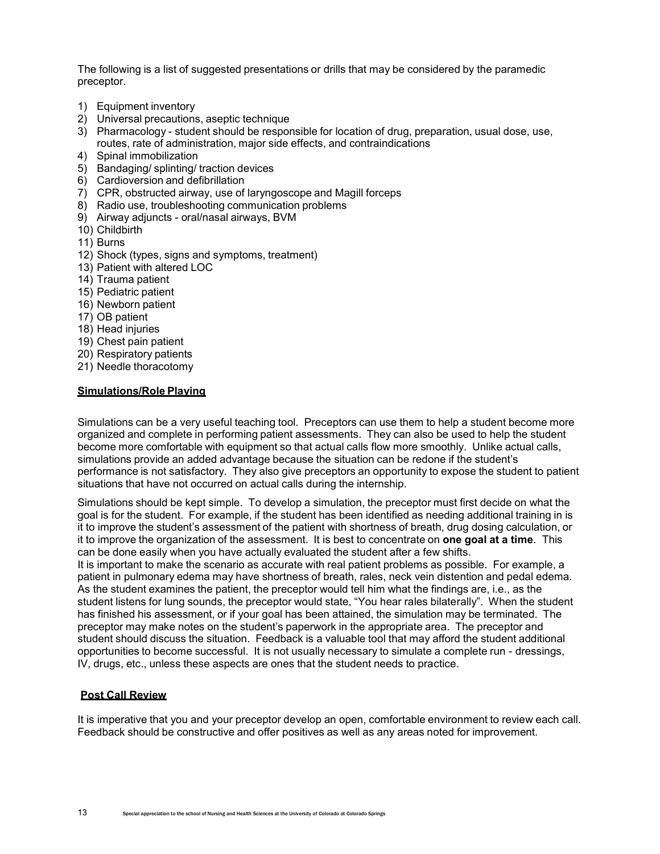The following is a list of suggested presentations or drills that may be considered by the paramedic preceptor.

- 1) Equipment inventory
- 2) Universal precautions, aseptic technique
- 3) Pharmacology student should be responsible for location of drug, preparation, usual dose, use, routes, rate of administration, major side effects, and contraindications
- 4) Spinal immobilization
- 5) Bandaging/ splinting/ traction devices
- 6) Cardioversion and defibrillation
- 7) CPR, obstructed airway, use of laryngoscope and Magill forceps
- 8) Radio use, troubleshooting communication problems
- 9) Airway adjuncts oral/nasal airways, BVM
- 10) Childbirth
- 11) Burns
- 12) Shock (types, signs and symptoms, treatment)
- 13) Patient with altered LOC
- 14) Trauma patient
- 15) Pediatric patient
- 16) Newborn patient
- 17) OB patient
- 18) Head injuries
- 19) Chest pain patient
- 20) Respiratory patients
- 21) Needle thoracotomy

#### **Simulations/Role Playing**

Simulations can be a very useful teaching tool. Preceptors can use them to help a student become more organized and complete in performing patient assessments. They can also be used to help the student become more comfortable with equipment so that actual calls flow more smoothly. Unlike actual calls, simulations provide an added advantage because the situation can be redone if the student's performance is not satisfactory. They also give preceptors an opportunity to expose the student to patient situations that have not occurred on actual calls during the internship.

Simulations should be kept simple. To develop a simulation, the preceptor must first decide on what the goal is for the student. For example, if the student has been identified as needing additional training in is it to improve the student's assessment of the patient with shortness of breath, drug dosing calculation, or it to improve the organization of the assessment. It is best to concentrate on **one goal at a time**. This can be done easily when you have actually evaluated the student after a few shifts.

It is important to make the scenario as accurate with real patient problems as possible. For example, a patient in pulmonary edema may have shortness of breath, rales, neck vein distention and pedal edema. As the student examines the patient, the preceptor would tell him what the findings are, i.e., as the student listens for lung sounds, the preceptor would state, "You hear rales bilaterally". When the student has finished his assessment, or if your goal has been attained, the simulation may be terminated. The preceptor may make notes on the student's paperwork in the appropriate area. The preceptor and student should discuss the situation. Feedback is a valuable tool that may afford the student additional opportunities to become successful. It is not usually necessary to simulate a complete run - dressings, IV, drugs, etc., unless these aspects are ones that the student needs to practice.

#### **Post Call Review**

It is imperative that you and your preceptor develop an open, comfortable environment to review each call. Feedback should be constructive and offer positives as well as any areas noted for improvement.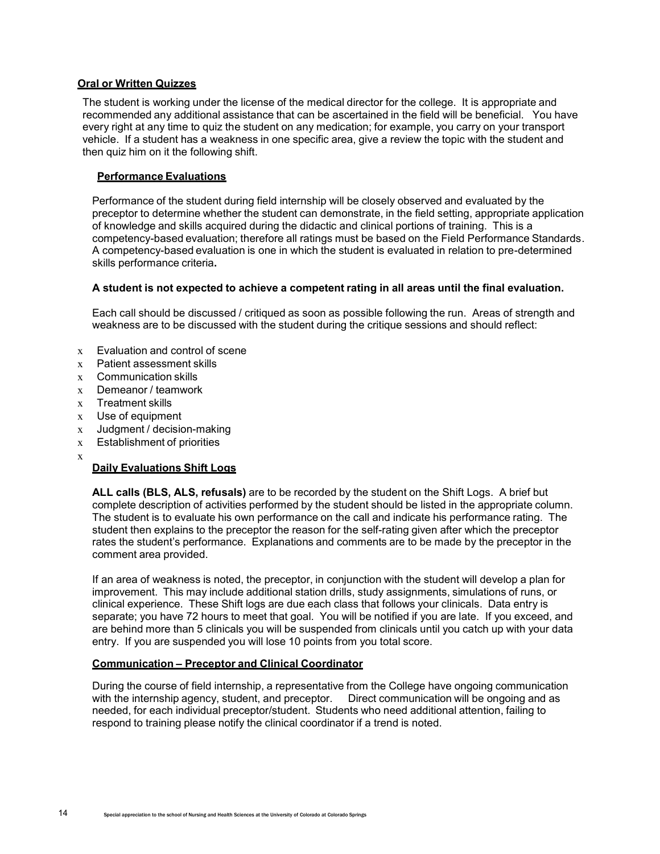### **Oral or Written Quizzes**

The student is working under the license of the medical director for the college. It is appropriate and recommended any additional assistance that can be ascertained in the field will be beneficial. You have every right at any time to quiz the student on any medication; for example, you carry on your transport vehicle. If a student has a weakness in one specific area, give a review the topic with the student and then quiz him on it the following shift.

### **Performance Evaluations**

Performance of the student during field internship will be closely observed and evaluated by the preceptor to determine whether the student can demonstrate, in the field setting, appropriate application of knowledge and skills acquired during the didactic and clinical portions of training. This is a competency-based evaluation; therefore all ratings must be based on the Field Performance Standards. A competency-based evaluation is one in which the student is evaluated in relation to pre-determined skills performance criteria**.**

### **A student is not expected to achieve a competent rating in all areas until the final evaluation.**

Each call should be discussed / critiqued as soon as possible following the run. Areas of strength and weakness are to be discussed with the student during the critique sessions and should reflect:

- x Evaluation and control of scene
- x Patient assessment skills
- x Communication skills
- x Demeanor / teamwork
- x Treatment skills
- x Use of equipment
- x Judgment / decision-making
- x Establishment of priorities
- x

### **Daily Evaluations Shift Logs**

**ALL calls (BLS, ALS, refusals)** are to be recorded by the student on the Shift Logs. A brief but complete description of activities performed by the student should be listed in the appropriate column. The student is to evaluate his own performance on the call and indicate his performance rating. The student then explains to the preceptor the reason for the self-rating given after which the preceptor rates the student's performance. Explanations and comments are to be made by the preceptor in the comment area provided.

If an area of weakness is noted, the preceptor, in conjunction with the student will develop a plan for improvement. This may include additional station drills, study assignments, simulations of runs, or clinical experience. These Shift logs are due each class that follows your clinicals. Data entry is separate; you have 72 hours to meet that goal. You will be notified if you are late. If you exceed, and are behind more than 5 clinicals you will be suspended from clinicals until you catch up with your data entry. If you are suspended you will lose 10 points from you total score.

#### **Communication – Preceptor and Clinical Coordinator**

During the course of field internship, a representative from the College have ongoing communication with the internship agency, student, and preceptor. Direct communication will be ongoing and as needed, for each individual preceptor/student. Students who need additional attention, failing to respond to training please notify the clinical coordinator if a trend is noted.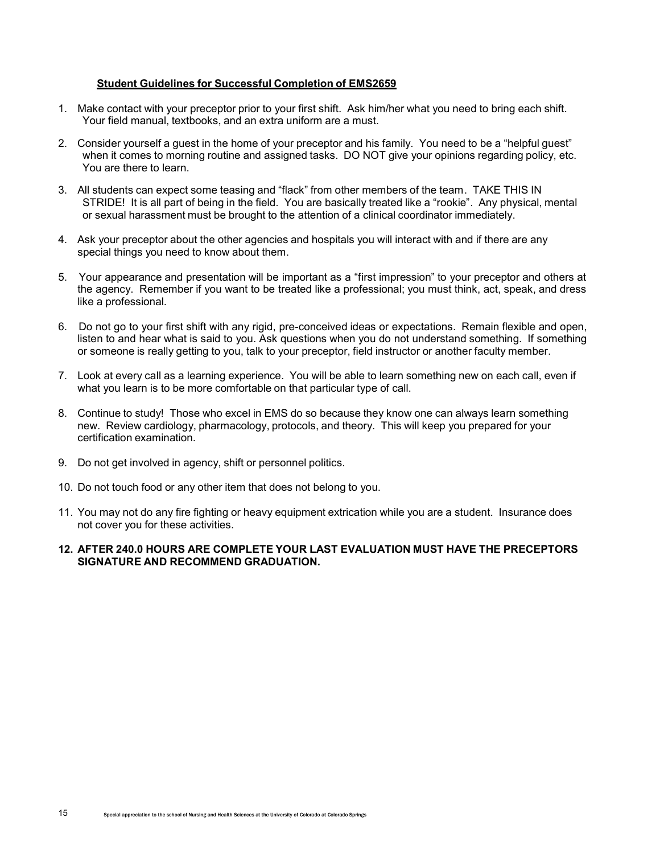#### **Student Guidelines for Successful Completion of EMS2659**

- 1. Make contact with your preceptor prior to your first shift. Ask him/her what you need to bring each shift. Your field manual, textbooks, and an extra uniform are a must.
- 2. Consider yourself a guest in the home of your preceptor and his family. You need to be a "helpful guest" when it comes to morning routine and assigned tasks. DO NOT give your opinions regarding policy, etc. You are there to learn.
- 3. All students can expect some teasing and "flack" from other members of the team. TAKE THIS IN STRIDE! It is all part of being in the field. You are basically treated like a "rookie". Any physical, mental or sexual harassment must be brought to the attention of a clinical coordinator immediately.
- 4. Ask your preceptor about the other agencies and hospitals you will interact with and if there are any special things you need to know about them.
- 5. Your appearance and presentation will be important as a "first impression" to your preceptor and others at the agency. Remember if you want to be treated like a professional; you must think, act, speak, and dress like a professional.
- 6. Do not go to your first shift with any rigid, pre-conceived ideas or expectations. Remain flexible and open, listen to and hear what is said to you. Ask questions when you do not understand something. If something or someone is really getting to you, talk to your preceptor, field instructor or another faculty member.
- 7. Look at every call as a learning experience. You will be able to learn something new on each call, even if what you learn is to be more comfortable on that particular type of call.
- 8. Continue to study! Those who excel in EMS do so because they know one can always learn something new. Review cardiology, pharmacology, protocols, and theory. This will keep you prepared for your certification examination.
- 9. Do not get involved in agency, shift or personnel politics.
- 10. Do not touch food or any other item that does not belong to you.
- 11. You may not do any fire fighting or heavy equipment extrication while you are a student. Insurance does not cover you for these activities.
- **12. AFTER 240.0 HOURS ARE COMPLETE YOUR LAST EVALUATION MUST HAVE THE PRECEPTORS SIGNATURE AND RECOMMEND GRADUATION.**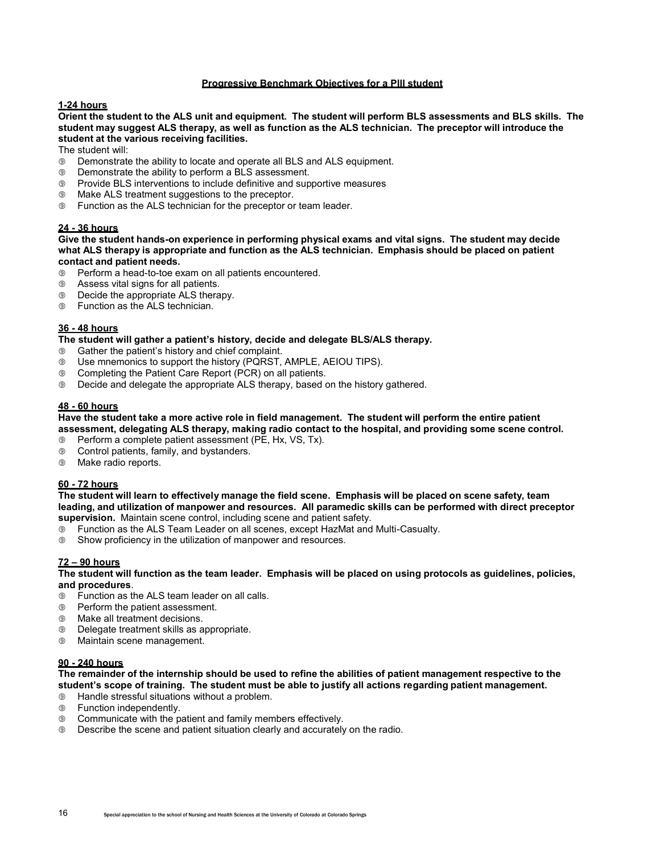### **Progressive Benchmark Objectives for a Plll student**

#### **1-24 hours**

**Orient the student to the ALS unit and equipment. The student will perform BLS assessments and BLS skills. The student may suggest ALS therapy, as well as function as the ALS technician. The preceptor will introduce the student at the various receiving facilities.**

The student will:

- Demonstrate the ability to locate and operate all BLS and ALS equipment.
- Demonstrate the ability to perform a BLS assessment.
- Provide BLS interventions to include definitive and supportive measures
- Make ALS treatment suggestions to the preceptor.
- Function as the ALS technician for the preceptor or team leader.

#### **24 - 36 hours**

**Give the student hands-on experience in performing physical exams and vital signs. The student may decide what ALS therapy is appropriate and function as the ALS technician. Emphasis should be placed on patient contact and patient needs.**

- Perform a head-to-toe exam on all patients encountered.
- Assess vital signs for all patients.
- Decide the appropriate ALS therapy.
- Function as the ALS technician.

#### **36 - 48 hours**

**The student will gather a patient's history, decide and delegate BLS/ALS therapy.**

- Gather the patient's history and chief complaint.
- Use mnemonics to support the history (PQRST, AMPLE, AEIOU TIPS).
- Completing the Patient Care Report (PCR) on all patients.
- Decide and delegate the appropriate ALS therapy, based on the history gathered.

#### **48 - 60 hours**

#### **Have the student take a more active role in field management. The student will perform the entire patient assessment, delegating ALS therapy, making radio contact to the hospital, and providing some scene control.**

- Perform a complete patient assessment (PE, Hx, VS, Tx).
- Control patients, family, and bystanders.
- Make radio reports.

#### **60 - 72 hours**

**The student will learn to effectively manage the field scene. Emphasis will be placed on scene safety, team leading, and utilization of manpower and resources. All paramedic skills can be performed with direct preceptor supervision.** Maintain scene control, including scene and patient safety.

- Function as the ALS Team Leader on all scenes, except HazMat and Multi-Casualty.
- Show proficiency in the utilization of manpower and resources.

#### **72 – 90 hours**

**The student will function as the team leader. Emphasis will be placed on using protocols as guidelines, policies, and procedures**.

- Function as the ALS team leader on all calls.
- Perform the patient assessment.
- Make all treatment decisions.
- Delegate treatment skills as appropriate.
- Maintain scene management.

#### **90 - 240 hours**

**The remainder of the internship should be used to refine the abilities of patient management respective to the student's scope of training. The student must be able to justify all actions regarding patient management.**

- Handle stressful situations without a problem.
- Function independently.
- Communicate with the patient and family members effectively.
- Describe the scene and patient situation clearly and accurately on the radio.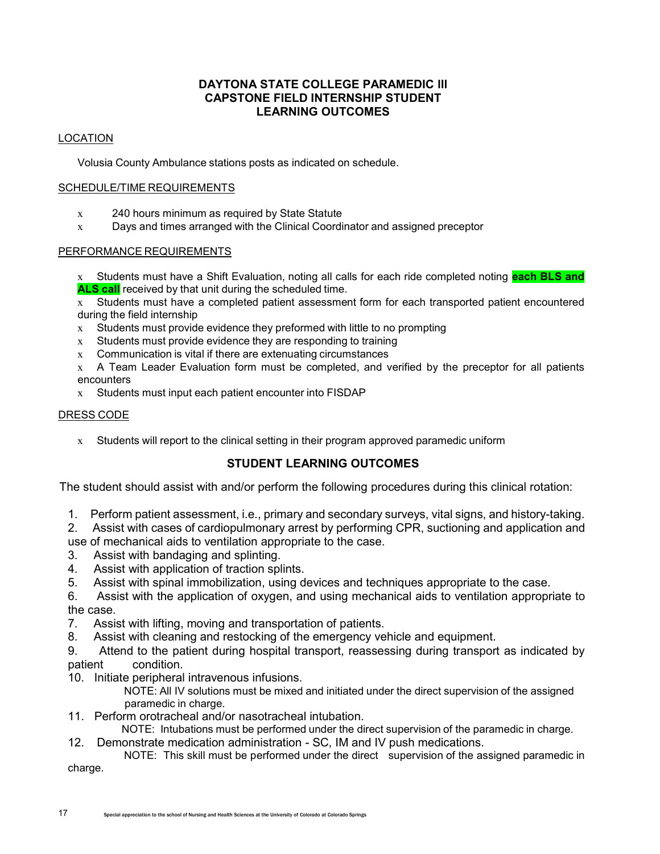# **DAYTONA STATE COLLEGE PARAMEDIC lll CAPSTONE FIELD INTERNSHIP STUDENT LEARNING OUTCOMES**

# LOCATION

Volusia County Ambulance stations posts as indicated on schedule.

### SCHEDULE/TIME REQUIREMENTS

- x 240 hours minimum as required by State Statute
- x Days and times arranged with the Clinical Coordinator and assigned preceptor

### PERFORMANCE REQUIREMENTS

x Students must have a Shift Evaluation, noting all calls for each ride completed noting **each BLS and ALS call** received by that unit during the scheduled time.

x Students must have a completed patient assessment form for each transported patient encountered during the field internship

- $x$  Students must provide evidence they preformed with little to no prompting
- $x$  Students must provide evidence they are responding to training
- x Communication is vital if there are extenuating circumstances
- x A Team Leader Evaluation form must be completed, and verified by the preceptor for all patients encounters

x Students must input each patient encounter into FISDAP

### DRESS CODE

x Students will report to the clinical setting in their program approved paramedic uniform

# **STUDENT LEARNING OUTCOMES**

The student should assist with and/or perform the following procedures during this clinical rotation:

1. Perform patient assessment, i.e., primary and secondary surveys, vital signs, and history-taking.

2. Assist with cases of cardiopulmonary arrest by performing CPR, suctioning and application and use of mechanical aids to ventilation appropriate to the case.

- 3. Assist with bandaging and splinting.
- 4. Assist with application of traction splints.
- 5. Assist with spinal immobilization, using devices and techniques appropriate to the case.
- 6. Assist with the application of oxygen, and using mechanical aids to ventilation appropriate to the case.
- 7. Assist with lifting, moving and transportation of patients.
- 8. Assist with cleaning and restocking of the emergency vehicle and equipment.

9. Attend to the patient during hospital transport, reassessing during transport as indicated by patient condition.

- 10. Initiate peripheral intravenous infusions.
	- NOTE: All IV solutions must be mixed and initiated under the direct supervision of the assigned paramedic in charge.
- 11. Perform orotracheal and/or nasotracheal intubation.
- NOTE: Intubations must be performed under the direct supervision of the paramedic in charge.
- 12. Demonstrate medication administration SC, IM and IV push medications.

NOTE: This skill must be performed under the direct supervision of the assigned paramedic in charge.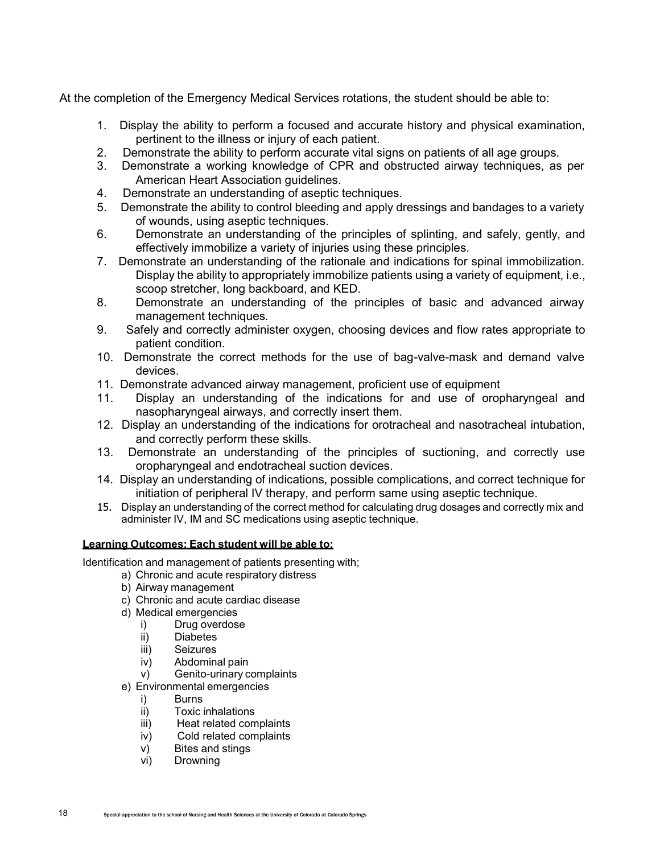At the completion of the Emergency Medical Services rotations, the student should be able to:

- 1. Display the ability to perform a focused and accurate history and physical examination, pertinent to the illness or injury of each patient.
- 2. Demonstrate the ability to perform accurate vital signs on patients of all age groups.
- 3. Demonstrate a working knowledge of CPR and obstructed airway techniques, as per American Heart Association guidelines.
- 4. Demonstrate an understanding of aseptic techniques.
- 5. Demonstrate the ability to control bleeding and apply dressings and bandages to a variety of wounds, using aseptic techniques.
- 6. Demonstrate an understanding of the principles of splinting, and safely, gently, and effectively immobilize a variety of injuries using these principles.
- 7. Demonstrate an understanding of the rationale and indications for spinal immobilization. Display the ability to appropriately immobilize patients using a variety of equipment, i.e., scoop stretcher, long backboard, and KED.
- 8. Demonstrate an understanding of the principles of basic and advanced airway management techniques.
- 9. Safely and correctly administer oxygen, choosing devices and flow rates appropriate to patient condition.
- 10. Demonstrate the correct methods for the use of bag-valve-mask and demand valve devices.
- 11. Demonstrate advanced airway management, proficient use of equipment
- 11. Display an understanding of the indications for and use of oropharyngeal and nasopharyngeal airways, and correctly insert them.
- 12. Display an understanding of the indications for orotracheal and nasotracheal intubation, and correctly perform these skills.
- 13. Demonstrate an understanding of the principles of suctioning, and correctly use oropharyngeal and endotracheal suction devices.
- 14. Display an understanding of indications, possible complications, and correct technique for initiation of peripheral IV therapy, and perform same using aseptic technique.
- 15. Display an understanding of the correct method for calculating drug dosages and correctly mix and administer IV, IM and SC medications using aseptic technique.

### **Learning Outcomes: Each student will be able to:**

Identification and management of patients presenting with;

- a) Chronic and acute respiratory distress
- b) Airway management
- c) Chronic and acute cardiac disease
- d) Medical emergencies
	- i) Drug overdose
	- ii) Diabetes
	- iii) Seizures
	- iv) Abdominal pain
	- v) Genito-urinary complaints
- e) Environmental emergencies
	- i) Burns
	- ii) Toxic inhalations
	- iii) Heat related complaints
	- iv) Cold related complaints
	- v) Bites and stings
	- vi) Drowning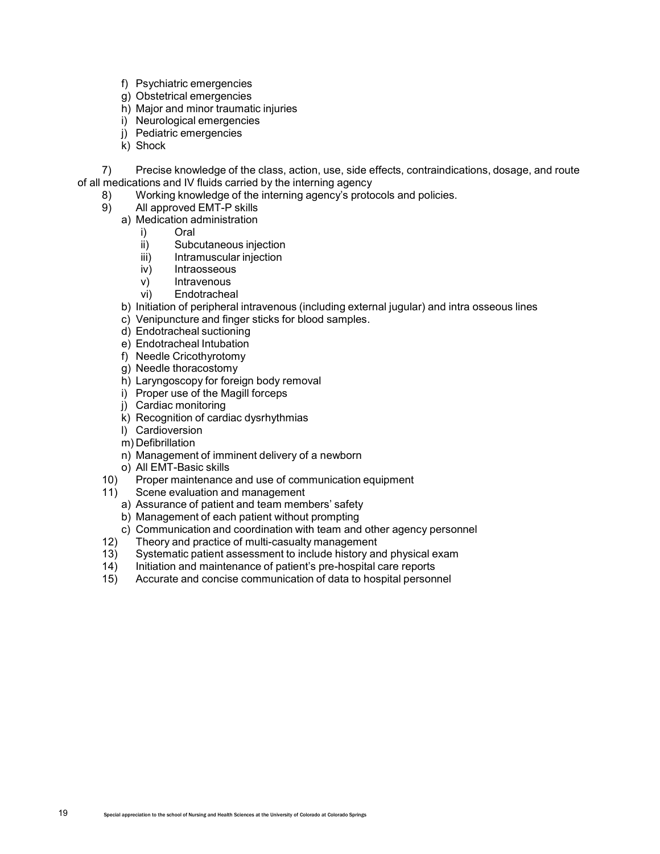- f) Psychiatric emergencies
- g) Obstetrical emergencies
- h) Major and minor traumatic injuries
- i) Neurological emergencies
- j) Pediatric emergencies
- k) Shock

7) Precise knowledge of the class, action, use, side effects, contraindications, dosage, and route of all medications and IV fluids carried by the interning agency

- 8) Working knowledge of the interning agency's protocols and policies.
- 9) All approved EMT-P skills
	- a) Medication administration
		- i) Oral
		- ii) Subcutaneous injection
		- iii) Intramuscular injection
		- iv) Intraosseous
		- v) Intravenous
		- vi) Endotracheal
	- b) Initiation of peripheral intravenous (including external jugular) and intra osseous lines
	- c) Venipuncture and finger sticks for blood samples.
	- d) Endotracheal suctioning
	- e) Endotracheal Intubation
	- f) Needle Cricothyrotomy
	- g) Needle thoracostomy
	- h) Laryngoscopy for foreign body removal
	- i) Proper use of the Magill forceps
	- j) Cardiac monitoring
	- k) Recognition of cardiac dysrhythmias
	- l) Cardioversion
	- m) Defibrillation
	- n) Management of imminent delivery of a newborn
- o) All EMT-Basic skills<br>10) Proper maintenance
- Proper maintenance and use of communication equipment
- 11) Scene evaluation and management
	- a) Assurance of patient and team members' safety
	- b) Management of each patient without prompting
	- c) Communication and coordination with team and other agency personnel
- 12) Theory and practice of multi-casualty management
- 13) Systematic patient assessment to include history and physical exam
- 14) Initiation and maintenance of patient's pre-hospital care reports
- 15) Accurate and concise communication of data to hospital personnel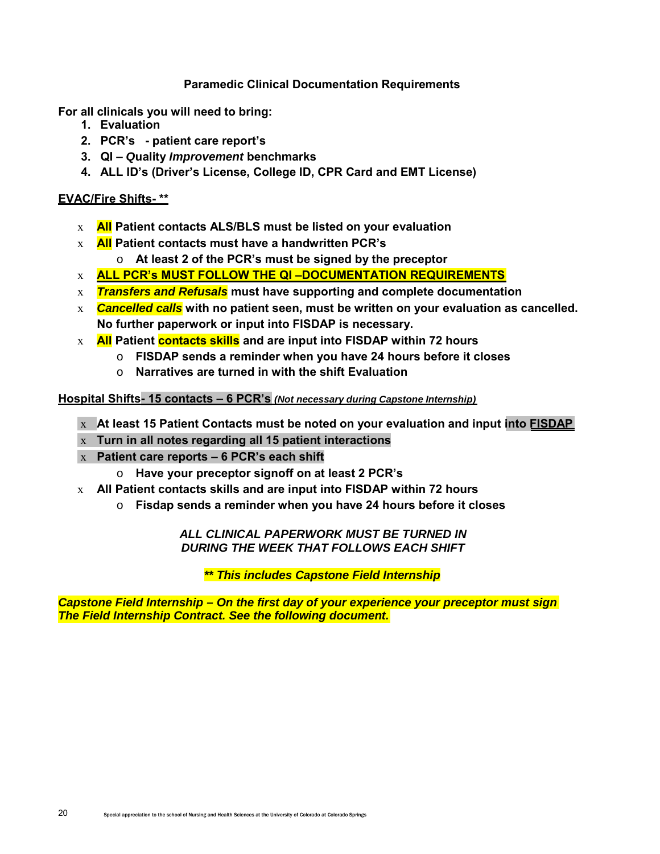# **Paramedic Clinical Documentation Requirements**

**For all clinicals you will need to bring:**

- **1. Evaluation**
- **2. PCR's patient care report's**
- **3. QI** *Q***uality** *Improvement* **benchmarks**
- **4. ALL ID's (Driver's License, College ID, CPR Card and EMT License)**

# **EVAC/Fire Shifts- \*\***

- x **All Patient contacts ALS/BLS must be listed on your evaluation**
- x **All Patient contacts must have a handwritten PCR's**
	- o **At least 2 of the PCR's must be signed by the preceptor**
- x **ALL PCR's MUST FOLLOW THE QI –DOCUMENTATION REQUIREMENTS**
- x *Transfers and Refusals* **must have supporting and complete documentation**
- x *Cancelled calls* **with no patient seen, must be written on your evaluation as cancelled. No further paperwork or input into FISDAP is necessary.**
- x **All Patient contacts skills and are input into FISDAP within 72 hours**
	- o **FISDAP sends a reminder when you have 24 hours before it closes**
	- o **Narratives are turned in with the shift Evaluation**

# **Hospital Shifts- 15 contacts – 6 PCR's** *(Not necessary during Capstone Internship)*

- x **At least 15 Patient Contacts must be noted on your evaluation and input into FISDAP**
	- x **Turn in all notes regarding all 15 patient interactions**
	- x **Patient care reports 6 PCR's each shift**
		- o **Have your preceptor signoff on at least 2 PCR's**
- x **All Patient contacts skills and are input into FISDAP within 72 hours**
	- o **Fisdap sends a reminder when you have 24 hours before it closes**

# *ALL CLINICAL PAPERWORK MUST BE TURNED IN DURING THE WEEK THAT FOLLOWS EACH SHIFT*

*\*\* This includes Capstone Field Internship*

*Capstone Field Internship – On the first day of your experience your preceptor must sign The Field Internship Contract. See the following document.*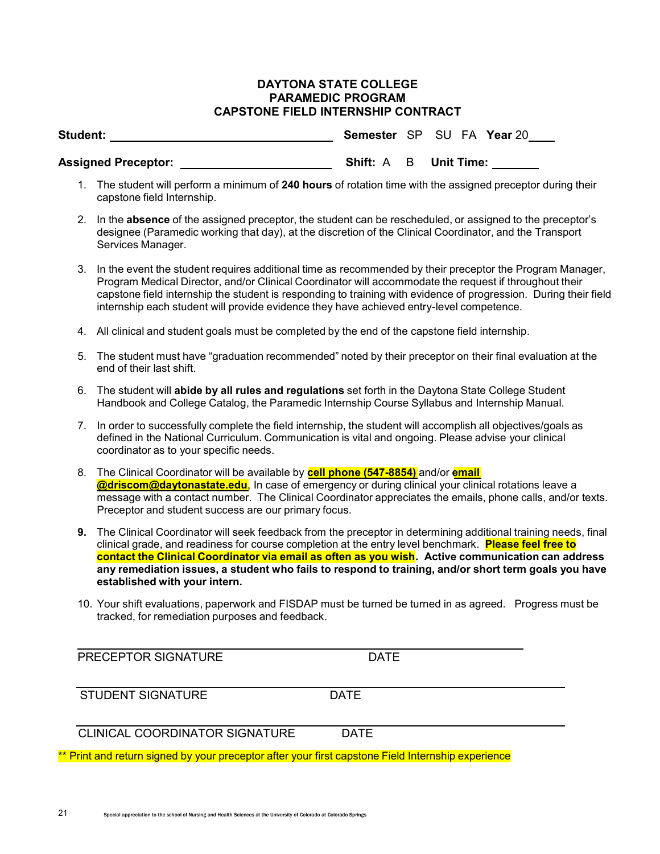## **DAYTONA STATE COLLEGE PARAMEDIC PROGRAM CAPSTONE FIELD INTERNSHIP CONTRACT**

| Student:                   |  | Semester SP SU FA Year 20    |
|----------------------------|--|------------------------------|
| <b>Assigned Preceptor:</b> |  | <b>Shift: A B Unit Time:</b> |

- 1. The student will perform a minimum of **240 hours** of rotation time with the assigned preceptor during their capstone field Internship.
- 2. In the **absence** of the assigned preceptor, the student can be rescheduled, or assigned to the preceptor's designee (Paramedic working that day), at the discretion of the Clinical Coordinator, and the Transport Services Manager.
- 3. In the event the student requires additional time as recommended by their preceptor the Program Manager, Program Medical Director, and/or Clinical Coordinator will accommodate the request if throughout their capstone field internship the student is responding to training with evidence of progression. During their field internship each student will provide evidence they have achieved entry-level competence.
- 4. All clinical and student goals must be completed by the end of the capstone field internship.
- 5. The student must have "graduation recommended" noted by their preceptor on their final evaluation at the end of their last shift.
- 6. The student will **abide by all rules and regulations** set forth in the Daytona State College Student Handbook and College Catalog, the Paramedic Internship Course Syllabus and Internship Manual.
- 7. In order to successfully complete the field internship, the student will accomplish all objectives/goals as defined in the National Curriculum. Communication is vital and ongoing. Please advise your clinical coordinator as to your specific needs.
- 8. The Clinical Coordinator will be available by **cell phone (547-8854)** and/or **email @driscom@daytonastate.edu**, In case of emergency or during clinical your clinical rotations leave a message with a contact number. The Clinical Coordinator appreciates the emails, phone calls, and/or texts. Preceptor and student success are our primary focus.
- **9.** The Clinical Coordinator will seek feedback from the preceptor in determining additional training needs, final clinical grade, and readiness for course completion at the entry level benchmark. **Please feel free to contact the Clinical Coordinator via email as often as you wish. Active communication can address any remediation issues, a student who fails to respond to training, and/or short term goals you have established with your intern.**
- 10. Your shift evaluations, paperwork and FISDAP must be turned be turned in as agreed. Progress must be tracked, for remediation purposes and feedback.

PRECEPTOR SIGNATURE DATE

| <b>STUDENT SIGNATURE</b> | <b>DATE</b> |
|--------------------------|-------------|
|--------------------------|-------------|

| <b>CLINICAL COORDINATOR SIGNATURE</b><br><b>DATE</b> |
|------------------------------------------------------|
|------------------------------------------------------|

\* Print and return signed by your preceptor after your first capstone Field Internship experience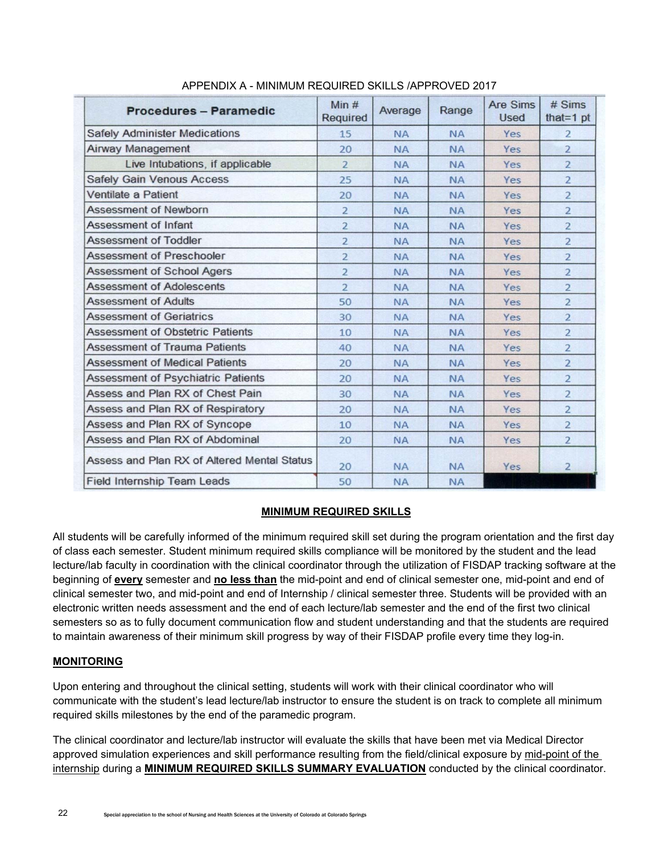| Procedures - Paramedic                      | Min $#$<br>Required | Average   | Range     | <b>Are Sims</b><br><b>Used</b> | # Sims<br>that=1 $pt$ |
|---------------------------------------------|---------------------|-----------|-----------|--------------------------------|-----------------------|
| <b>Safely Administer Medications</b>        | 15                  | <b>NA</b> | <b>NA</b> | Yes                            | $\overline{2}$        |
| <b>Airway Management</b>                    | 20                  | <b>NA</b> | <b>NA</b> | Yes                            | $\overline{a}$        |
| Live Intubations, if applicable             | $\overline{a}$      | <b>NA</b> | <b>NA</b> | Yes                            | $\overline{2}$        |
| <b>Safely Gain Venous Access</b>            | 25                  | <b>NA</b> | <b>NA</b> | Yes                            | $\overline{2}$        |
| Ventilate a Patient                         | 20                  | <b>NA</b> | <b>NA</b> | Yes                            | $\overline{2}$        |
| <b>Assessment of Newborn</b>                | $\overline{2}$      | <b>NA</b> | <b>NA</b> | Yes                            | $\overline{2}$        |
| <b>Assessment of Infant</b>                 | $\overline{2}$      | <b>NA</b> | <b>NA</b> | Yes                            | $\overline{2}$        |
| <b>Assessment of Toddler</b>                | $\overline{2}$      | <b>NA</b> | <b>NA</b> | Yes                            | $\overline{2}$        |
| <b>Assessment of Preschooler</b>            | $\overline{2}$      | <b>NA</b> | <b>NA</b> | Yes                            | $\overline{2}$        |
| <b>Assessment of School Agers</b>           | $\overline{2}$      | <b>NA</b> | <b>NA</b> | Yes                            | $\overline{2}$        |
| <b>Assessment of Adolescents</b>            | $\overline{a}$      | <b>NA</b> | <b>NA</b> | Yes                            | $\overline{2}$        |
| <b>Assessment of Adults</b>                 | 50                  | <b>NA</b> | <b>NA</b> | Yes                            | $\overline{a}$        |
| <b>Assessment of Geriatrics</b>             | 30                  | <b>NA</b> | <b>NA</b> | Yes                            | $\overline{2}$        |
| <b>Assessment of Obstetric Patients</b>     | 10                  | <b>NA</b> | <b>NA</b> | Yes                            | $\overline{2}$        |
| <b>Assessment of Trauma Patients</b>        | 40                  | <b>NA</b> | <b>NA</b> | Yes                            | $\overline{2}$        |
| <b>Assessment of Medical Patients</b>       | 20                  | <b>NA</b> | <b>NA</b> | Yes                            | $\overline{2}$        |
| <b>Assessment of Psychiatric Patients</b>   | 20                  | <b>NA</b> | <b>NA</b> | Yes                            | $\overline{2}$        |
| Assess and Plan RX of Chest Pain            | 30                  | <b>NA</b> | <b>NA</b> | Yes                            | $\overline{2}$        |
| Assess and Plan RX of Respiratory           | 20                  | <b>NA</b> | <b>NA</b> | Yes                            | $\overline{2}$        |
| Assess and Plan RX of Syncope               | 10                  | <b>NA</b> | <b>NA</b> | Yes                            | $\overline{2}$        |
| Assess and Plan RX of Abdominal             | 20                  | <b>NA</b> | <b>NA</b> | Yes                            | $\overline{2}$        |
| Assess and Plan RX of Altered Mental Status | 20                  | <b>NA</b> | <b>NA</b> | Yes                            | $\overline{2}$        |
| <b>Field Internship Team Leads</b>          | 50                  | <b>NA</b> | <b>NA</b> |                                |                       |

## APPENDIX A - MINIMUM REQUIRED SKILLS /APPROVED 2017

### **MINIMUM REQUIRED SKILLS**

All students will be carefully informed of the minimum required skill set during the program orientation and the first day of class each semester. Student minimum required skills compliance will be monitored by the student and the lead lecture/lab faculty in coordination with the clinical coordinator through the utilization of FISDAP tracking software at the beginning of **every** semester and **no less than** the mid-point and end of clinical semester one, mid-point and end of clinical semester two, and mid-point and end of Internship / clinical semester three. Students will be provided with an electronic written needs assessment and the end of each lecture/lab semester and the end of the first two clinical semesters so as to fully document communication flow and student understanding and that the students are required to maintain awareness of their minimum skill progress by way of their FISDAP profile every time they log-in.

### **MONITORING**

Upon entering and throughout the clinical setting, students will work with their clinical coordinator who will communicate with the student's lead lecture/lab instructor to ensure the student is on track to complete all minimum required skills milestones by the end of the paramedic program.

The clinical coordinator and lecture/lab instructor will evaluate the skills that have been met via Medical Director approved simulation experiences and skill performance resulting from the field/clinical exposure by mid-point of the internship during a **MINIMUM REQUIRED SKILLS SUMMARY EVALUATION** conducted by the clinical coordinator.